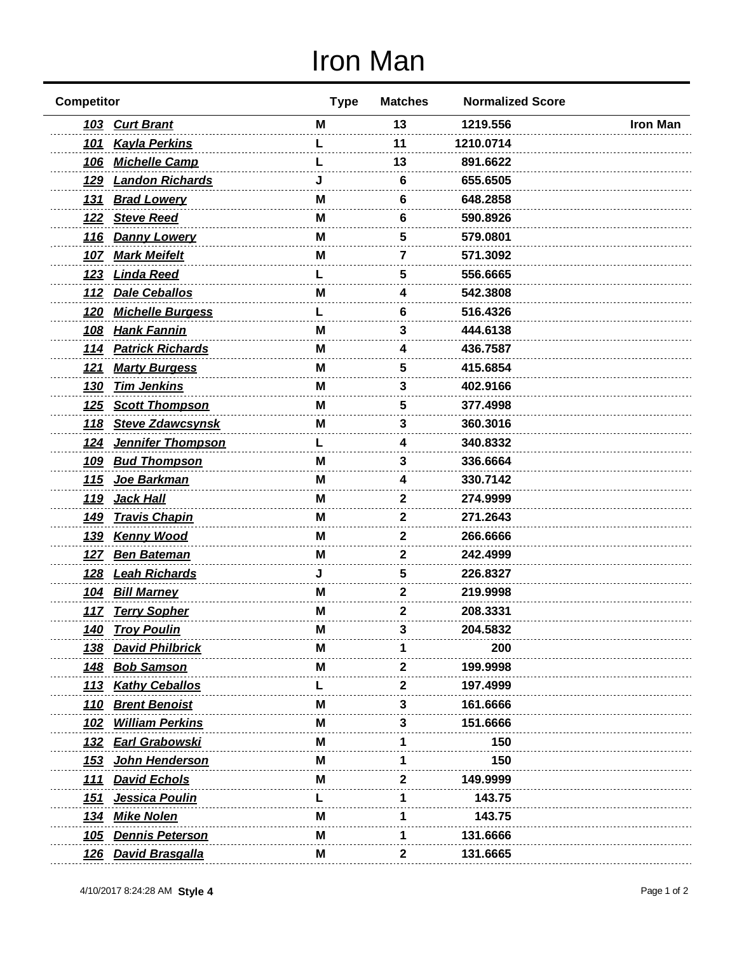## Iron Man

| <b>Competitor</b>                      | <b>Type</b> | <b>Matches</b> | <b>Normalized Score</b> |                 |
|----------------------------------------|-------------|----------------|-------------------------|-----------------|
| <b>Curt Brant</b><br><u> 103</u>       | M           | 13             | 1219.556                | <b>Iron Man</b> |
| 101 Kayla Perkins                      |             | 11             | 1210.0714               |                 |
| <b>Michelle Camp</b><br><u>106</u>     |             | 13             | 891.6622                |                 |
| <b>Landon Richards</b><br><u>129</u>   |             | 6              | 655.6505                |                 |
| 131 Brad Lowery                        | M           | 6              | 648.2858                |                 |
| <b>Steve Reed</b><br><u>122</u>        | м           | 6              | 590.8926                |                 |
| <b>Danny Lowery</b><br><u>116</u>      | M           | 5              | 579.0801                |                 |
| <b>Mark Meifelt</b><br><u>107</u>      | M           | 7              | 571.3092                |                 |
| <u>Linda Reed</u><br><u>123</u>        |             | 5              | 556.6665                |                 |
| <b>Dale Ceballos</b><br><u> 112</u>    | M           | 4              | 542.3808                |                 |
| <b>Michelle Burgess</b><br><u>120</u>  |             | 6              | 516.4326                |                 |
| <u>Hank Fannin</u><br>108              | M           | 3              | 444.6138                |                 |
| <u>114</u><br><b>Patrick Richards</b>  | M           | 4              | 436.7587                |                 |
| <b>Marty Burgess</b><br><u>121</u>     | м           | 5              | 415.6854                |                 |
| <b>Tim Jenkins</b><br><u>130</u>       | M           | 3              | 402.9166                |                 |
| <b>Scott Thompson</b><br><u>125</u>    | м           | 5              | 377.4998                |                 |
| 118 Steve Zdawcsynsk                   | м           | 3              | 360.3016                |                 |
| <b>Jennifer Thompson</b><br><u>124</u> |             | 4              | 340.8332                |                 |
| <b>Bud Thompson</b><br><u>109</u>      | М           | 3              | 336.6664                |                 |
| Joe Barkman<br><u> 115</u>             | м           | 4              | 330.7142                |                 |
| Jack Hall<br><u>119</u>                | м           | 2              | 274.9999                |                 |
| <b>Travis Chapin</b><br><u>149</u>     | M           | 2              | 271.2643                |                 |
| <u>139</u><br><b>Kenny Wood</b>        | M           | 2              | 266.6666                |                 |
| 127 Ben Bateman                        | M           | 2              | 242.4999                |                 |
| <u>Leah Richards</u><br><u>128</u>     |             | 5              | 226.8327                |                 |
| 104 Bill Marney                        | м           | 2              | 219.9998                |                 |
| 117 Terry Sopher                       | M           | 2              | 208.3331                |                 |
| <u> 140</u><br><b>Troy Poulin</b>      | M           |                | 204.5832                |                 |
| <b>David Philbrick</b><br><u>138</u>   | м           |                | 200                     |                 |
| <b>Bob Samson</b><br><u>148</u>        | м           | 2              | 199.9998                |                 |
| <b>Kathy Ceballos</b><br><u> 113</u>   |             | 2              | 197.4999                |                 |
| <b>Brent Benoist</b><br><u>110</u>     | м           | 3              | 161.6666                |                 |
| <b>William Perkins</b><br><u> 102</u>  | M           |                | 151.6666                |                 |
| <u>Earl Grabowski</u><br><u>132</u>    | M           |                | 150                     |                 |
| John Henderson<br><u>153</u>           | М           |                | 150                     |                 |
| <b>David Echols</b><br><u>111</u>      | M           | 2              | 149.9999                |                 |
| Jessica Poulin<br><u> 151</u>          |             |                | 143.75                  |                 |
| <b>Mike Nolen</b><br><u> 134</u>       | M           |                | 143.75                  |                 |
| <b>Dennis Peterson</b><br><u>105</u>   | M           | 1              | 131.6666                |                 |
| 126 David Brasgalla                    | Μ           | 2              | 131.6665                |                 |